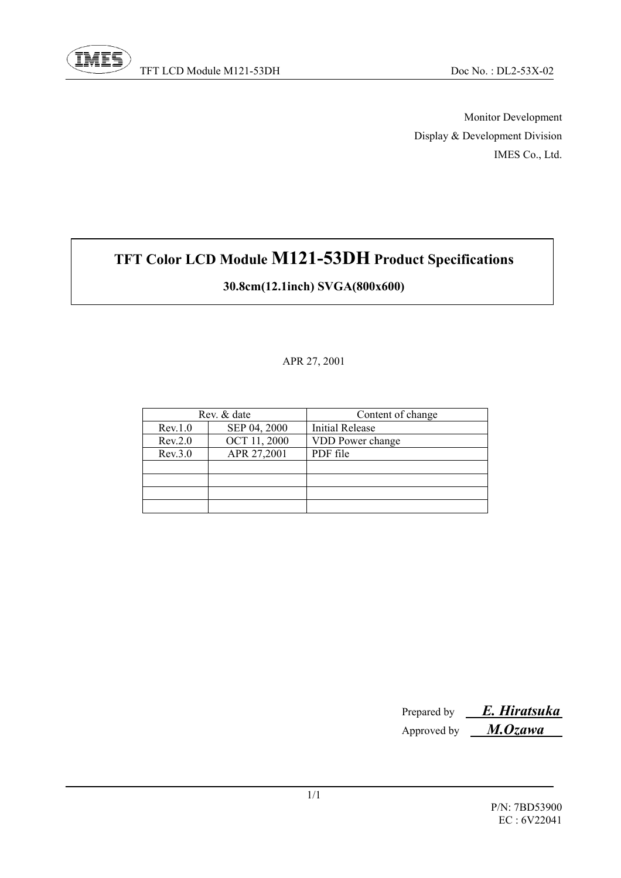

 Monitor Development Display & Development Division IMES Co., Ltd.

# **TFT Color LCD Module M121-53DH Product Specifications**

#### **30.8cm(12.1inch) SVGA(800x600)**

#### APR 27, 2001

|         | Rev. & date  | Content of change      |
|---------|--------------|------------------------|
| Rev.1.0 | SEP 04, 2000 | <b>Initial Release</b> |
| Rev.2.0 | OCT 11, 2000 | VDD Power change       |
| Rev.3.0 | APR 27,2001  | PDF file               |
|         |              |                        |
|         |              |                        |
|         |              |                        |
|         |              |                        |

| Prepared by $E. Hiratsuka$ |
|----------------------------|
| Approved by $M. Ozawa$     |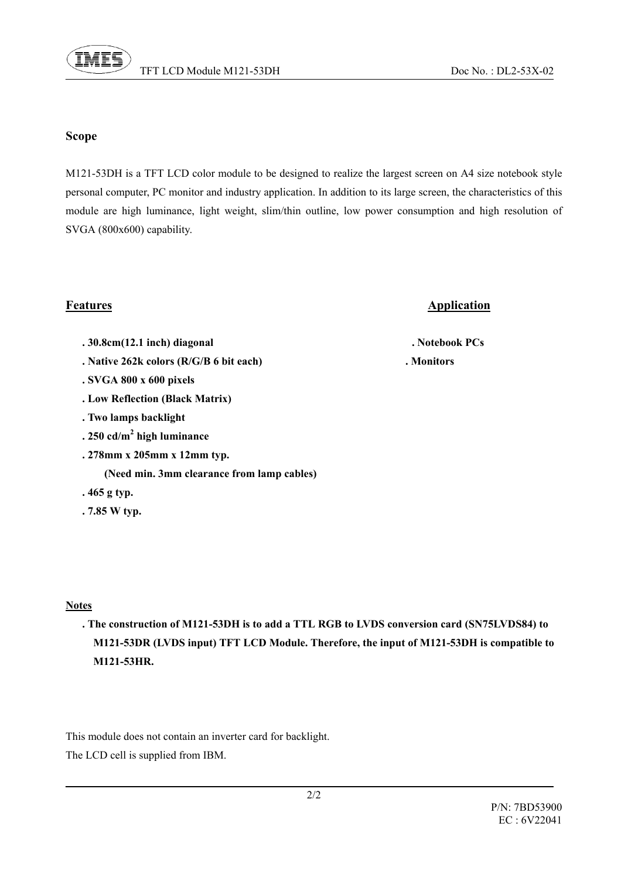

#### **Scope**

M121-53DH is a TFT LCD color module to be designed to realize the largest screen on A4 size notebook style personal computer, PC monitor and industry application. In addition to its large screen, the characteristics of this module are high luminance, light weight, slim/thin outline, low power consumption and high resolution of SVGA (800x600) capability.

#### . 30.8cm(12.1 inch) diagonal **.** Notebook PCs

- **. Native 262k colors (R/G/B 6 bit each) . Monitors**
- **. SVGA 800 x 600 pixels**
- **. Low Reflection (Black Matrix)**
- **. Two lamps backlight**
- **. 250 cd/m<sup>2</sup> high luminance** 
	- **. 278mm x 205mm x 12mm typ.**

 **(Need min. 3mm clearance from lamp cables)** 

- **. 465 g typ.**
- **. 7.85 W typ.**

#### **Notes**

 **. The construction of M121-53DH is to add a TTL RGB to LVDS conversion card (SN75LVDS84) to M121-53DR (LVDS input) TFT LCD Module. Therefore, the input of M121-53DH is compatible to M121-53HR.** 

This module does not contain an inverter card for backlight.

The LCD cell is supplied from IBM.

#### **Features**ȀȀȀȀȀȀȀȀȀȀȀȀȀȀȀȀȀȀȀȀȀ **Application**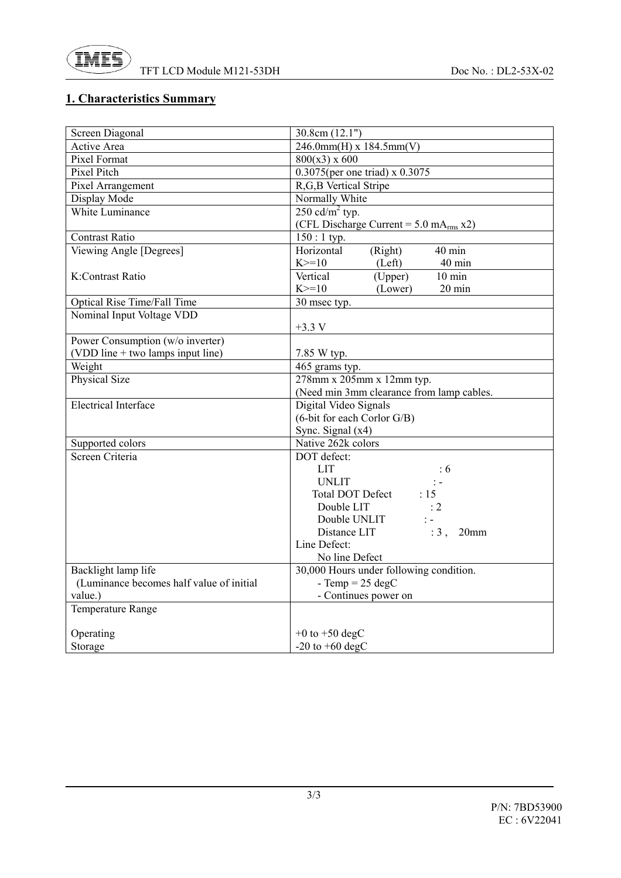

## **1. Characteristics Summary**

| Screen Diagonal                          | 30.8cm $(12.1")$                                     |  |  |  |  |
|------------------------------------------|------------------------------------------------------|--|--|--|--|
| Active Area                              | $246.0mm(H)$ x 184.5mm(V)                            |  |  |  |  |
| Pixel Format                             | $800(x3)$ x 600                                      |  |  |  |  |
| Pixel Pitch                              | 0.3075(per one triad) x 0.3075                       |  |  |  |  |
| Pixel Arrangement                        | R,G,B Vertical Stripe                                |  |  |  |  |
| Display Mode                             | Normally White                                       |  |  |  |  |
| White Luminance                          | $250 \text{ cd/m}^2$ typ.                            |  |  |  |  |
|                                          | (CFL Discharge Current = $5.0$ mA <sub>rms</sub> x2) |  |  |  |  |
| <b>Contrast Ratio</b>                    | 150 : 1 typ.                                         |  |  |  |  |
| Viewing Angle [Degrees]                  | Horizontal<br>(Right)<br>40 min                      |  |  |  |  |
|                                          | $K>=10$<br>(Left)<br>40 min                          |  |  |  |  |
| K:Contrast Ratio                         | (Upper)<br>Vertical<br>$10 \text{ min}$              |  |  |  |  |
|                                          | $K>=10$<br>(Lower)<br>$20 \text{ min}$               |  |  |  |  |
| Optical Rise Time/Fall Time              | 30 msec typ.                                         |  |  |  |  |
| Nominal Input Voltage VDD                |                                                      |  |  |  |  |
|                                          | $+3.3$ V                                             |  |  |  |  |
| Power Consumption (w/o inverter)         |                                                      |  |  |  |  |
| (VDD line $+$ two lamps input line)      | 7.85 W typ.                                          |  |  |  |  |
| Weight                                   | 465 grams typ.                                       |  |  |  |  |
| Physical Size                            | 278mm x 205mm x 12mm typ.                            |  |  |  |  |
|                                          | (Need min 3mm clearance from lamp cables.            |  |  |  |  |
| <b>Electrical Interface</b>              | Digital Video Signals                                |  |  |  |  |
|                                          | (6-bit for each Corlor G/B)                          |  |  |  |  |
|                                          | Sync. Signal (x4)                                    |  |  |  |  |
| Supported colors                         | Native 262k colors                                   |  |  |  |  |
| Screen Criteria                          | DOT defect:                                          |  |  |  |  |
|                                          | <b>LIT</b><br>$\div 6$                               |  |  |  |  |
|                                          | <b>UNLIT</b>                                         |  |  |  |  |
|                                          | <b>Total DOT Defect</b><br>:15                       |  |  |  |  |
|                                          | Double LIT<br>$\therefore$ 2                         |  |  |  |  |
|                                          | Double UNLIT<br>$\frac{1}{2}$ =                      |  |  |  |  |
|                                          | Distance LIT<br>$:3$ , 20mm                          |  |  |  |  |
|                                          | Line Defect:                                         |  |  |  |  |
|                                          | No line Defect                                       |  |  |  |  |
| Backlight lamp life                      | 30,000 Hours under following condition.              |  |  |  |  |
| (Luminance becomes half value of initial | - Temp = $25 \text{ degC}$                           |  |  |  |  |
| value.)                                  | - Continues power on                                 |  |  |  |  |
| <b>Temperature Range</b>                 |                                                      |  |  |  |  |
|                                          |                                                      |  |  |  |  |
| Operating                                | $+0$ to $+50$ degC                                   |  |  |  |  |
| Storage                                  | -20 to $+60$ degC                                    |  |  |  |  |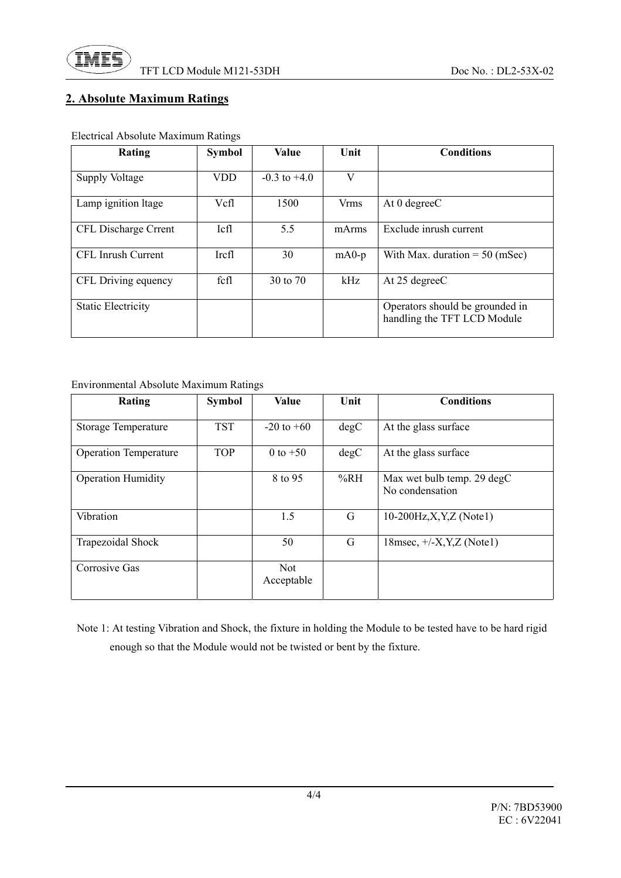

## **2. Absolute Maximum Ratings**

#### Electrical Absolute Maximum Ratings

| Rating                      | <b>Symbol</b> | <b>Value</b>     | Unit        | <b>Conditions</b>                                              |
|-----------------------------|---------------|------------------|-------------|----------------------------------------------------------------|
| Supply Voltage              | <b>VDD</b>    | $-0.3$ to $+4.0$ | V           |                                                                |
| Lamp ignition Itage         | Vcfl          | 1500             | <b>Vrms</b> | At $0 \text{ degreeC}$                                         |
| <b>CFL</b> Discharge Crrent | <b>Icfl</b>   | 5.5              | mArms       | Exclude inrush current                                         |
| CFL Inrush Current          | <b>Ircfl</b>  | 30               | $mA0-p$     | With Max. duration $= 50$ (mSec)                               |
| CFL Driving equency         | fcfl          | 30 to 70         | kHz         | At 25 degreeC                                                  |
| <b>Static Electricity</b>   |               |                  |             | Operators should be grounded in<br>handling the TFT LCD Module |

#### Environmental Absolute Maximum Ratings

| Rating                       | <b>Symbol</b> | <b>Value</b>             | Unit | <b>Conditions</b>                             |
|------------------------------|---------------|--------------------------|------|-----------------------------------------------|
| <b>Storage Temperature</b>   | <b>TST</b>    | $-20$ to $+60$           | degC | At the glass surface                          |
| <b>Operation Temperature</b> | <b>TOP</b>    | 0 to $+50$               | degC | At the glass surface                          |
| <b>Operation Humidity</b>    |               | 8 to 95                  | %RH  | Max wet bulb temp. 29 degC<br>No condensation |
| Vibration                    |               | 1.5                      | G    | $10-200$ Hz, X, Y, Z (Note1)                  |
| Trapezoidal Shock            |               | 50                       | G    | $18$ msec, $\pm$ /-X,Y,Z (Note1)              |
| Corrosive Gas                |               | <b>Not</b><br>Acceptable |      |                                               |

 Note 1: At testing Vibration and Shock, the fixture in holding the Module to be tested have to be hard rigid enough so that the Module would not be twisted or bent by the fixture.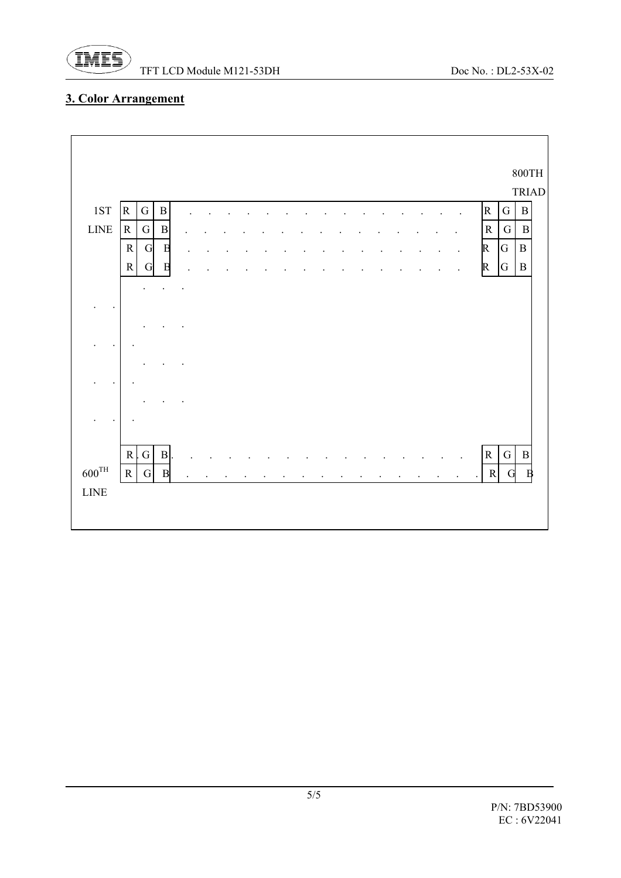



## **3. Color Arrangement**

|                |             |             |                |  |  |  |  |  |  |  |              |                | $800\mathrm{TH}$ |  |
|----------------|-------------|-------------|----------------|--|--|--|--|--|--|--|--------------|----------------|------------------|--|
|                |             |             |                |  |  |  |  |  |  |  |              |                | <b>TRIAD</b>     |  |
| $1S T$         | ${\bf R}$   | ${\bf G}$   | $\, {\bf B}$   |  |  |  |  |  |  |  | ${\bf R}$    | ${\bf G}$      | $\, {\bf B}$     |  |
| ${\rm LINE}$   | ${\bf R}$   | ${\bf G}$   | $\, {\bf B}$   |  |  |  |  |  |  |  | ${\bf R}$    | ${\bf G}$      | $\, {\bf B}$     |  |
|                | $\mathbf R$ | G           | $\mathbf{B}$   |  |  |  |  |  |  |  | R            | $\overline{G}$ | $\, {\bf B}$     |  |
|                | ${\bf R}$   | $\mathbf G$ | $\overline{B}$ |  |  |  |  |  |  |  | $\mathbb{R}$ | ${\bf G}$      | $\, {\bf B}$     |  |
|                |             |             |                |  |  |  |  |  |  |  |              |                |                  |  |
|                |             |             |                |  |  |  |  |  |  |  |              |                |                  |  |
|                |             |             |                |  |  |  |  |  |  |  |              |                |                  |  |
|                |             |             |                |  |  |  |  |  |  |  |              |                |                  |  |
|                |             |             |                |  |  |  |  |  |  |  |              |                |                  |  |
|                |             |             |                |  |  |  |  |  |  |  |              |                |                  |  |
|                |             |             |                |  |  |  |  |  |  |  |              |                |                  |  |
|                |             |             |                |  |  |  |  |  |  |  |              |                |                  |  |
|                |             |             |                |  |  |  |  |  |  |  |              |                |                  |  |
|                | $R$ .       | ${\bf G}$   | $\, {\bf B}$   |  |  |  |  |  |  |  | ${\bf R}$    | ${\bf G}$      | $\, {\bf B}$     |  |
| $600^{\rm TH}$ | ${\bf R}$   | ${\bf G}$   | $\mathbf B$    |  |  |  |  |  |  |  | ${\bf R}$    | G              | Β                |  |
| <b>LINE</b>    |             |             |                |  |  |  |  |  |  |  |              |                |                  |  |
|                |             |             |                |  |  |  |  |  |  |  |              |                |                  |  |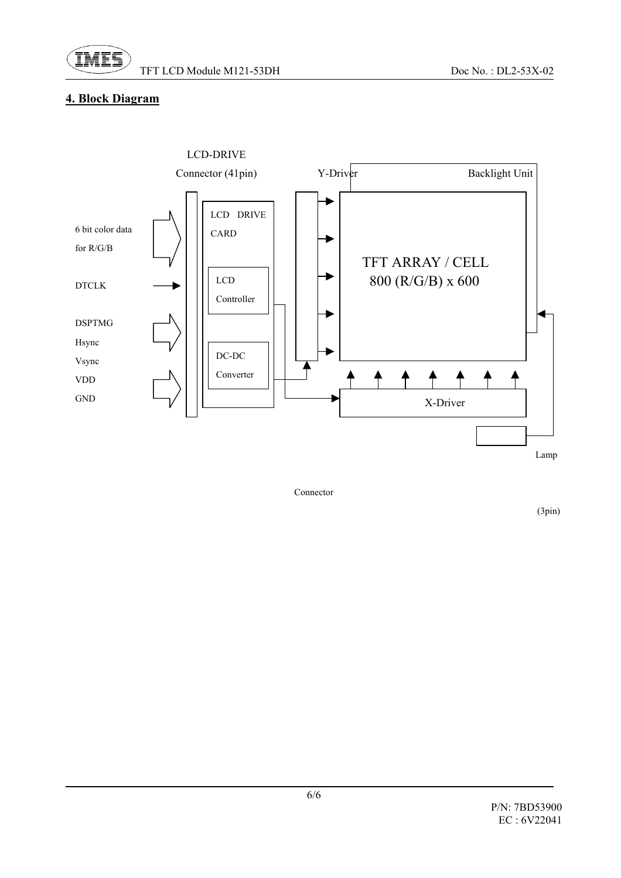

## **4. Block Diagram**



Connector

 $(3\text{pin})$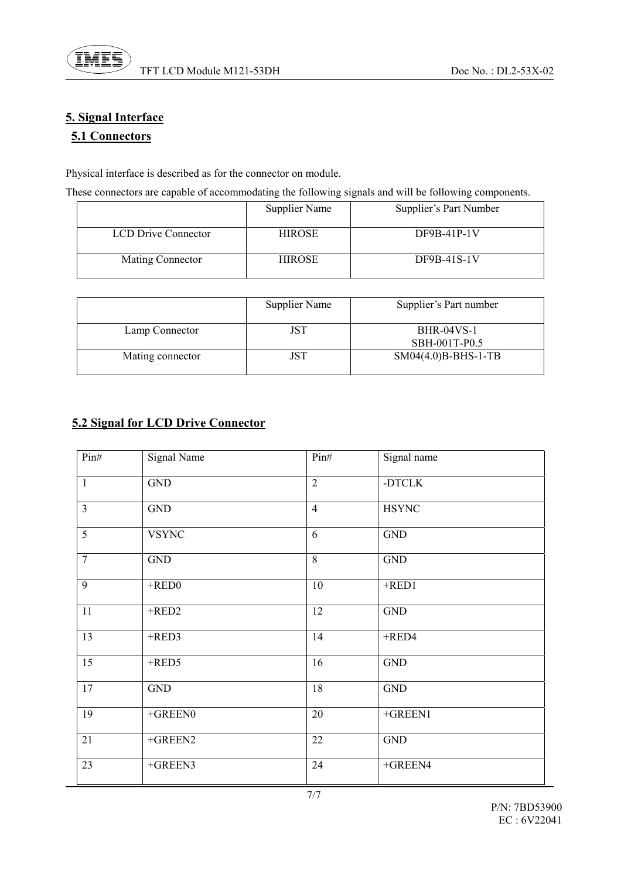#### **5. Signal Interface**

#### **5.1 Connectors**

Physical interface is described as for the connector on module.

These connectors are capable of accommodating the following signals and will be following components.

|                            | Supplier Name | Supplier's Part Number |
|----------------------------|---------------|------------------------|
| <b>LCD Drive Connector</b> | <b>HIROSE</b> | $DF9B-41P-1V$          |
| Mating Connector           | <b>HIROSE</b> | $DF9B-41S-1V$          |

|                  | Supplier Name | Supplier's Part number             |
|------------------|---------------|------------------------------------|
| Lamp Connector   |               | <b>BHR-04VS-1</b><br>SBH-001T-P0.5 |
| Mating connector |               | $SM04(4.0)B-BHS-1-TB$              |

#### **5.2 Signal for LCD Drive Connector**

| Pin#            | Signal Name  | Pin#            | Signal name  |  |
|-----------------|--------------|-----------------|--------------|--|
| $\mathbf{1}$    | <b>GND</b>   | $\overline{2}$  | -DTCLK       |  |
| $\overline{3}$  | <b>GND</b>   | $\overline{4}$  | <b>HSYNC</b> |  |
| $\overline{5}$  | <b>VSYNC</b> | 6               | <b>GND</b>   |  |
| $\overline{7}$  | <b>GND</b>   | 8               | <b>GND</b>   |  |
| $\overline{9}$  | $+$ RED0     | 10              | $+$ RED1     |  |
| $\overline{11}$ | $+$ RED2     | $\overline{12}$ | GND          |  |
| 13              | $+RED3$      | 14              | $+$ RED4     |  |
| 15              | $+$ RED5     | 16              | <b>GND</b>   |  |
| $\overline{17}$ | <b>GND</b>   | $\overline{18}$ | <b>GND</b>   |  |
| 19              | $+GREFNO$    | 20              | $+GREFN1$    |  |
| 21              | $+GREFN2$    | 22              | <b>GND</b>   |  |
| 23              | $+GREEN3$    | 24              | $+GREEN4$    |  |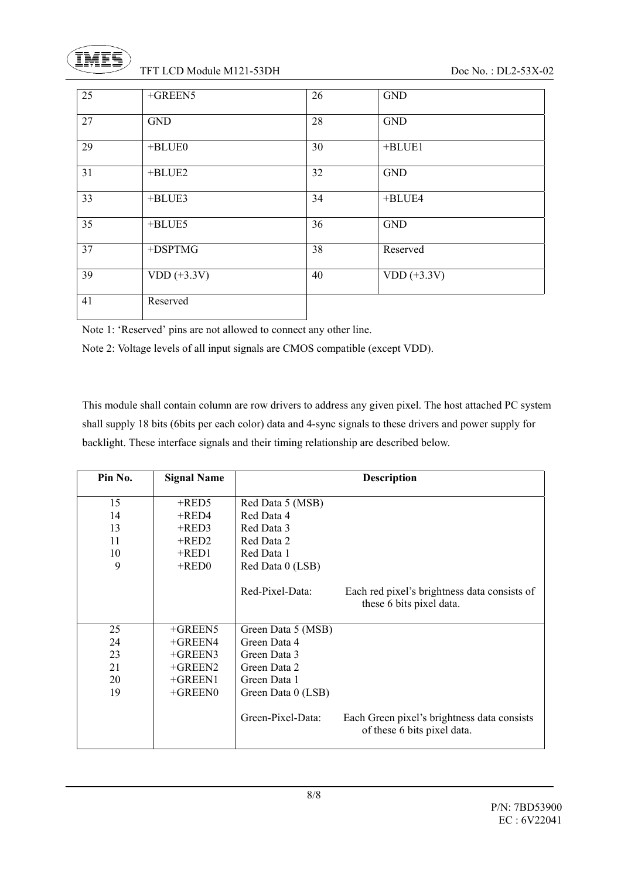

TFT LCD Module M121-53DH Doc No.: DL2-53X-02

| 25 | $+GREEN5$     | 26 | <b>GND</b>    |  |
|----|---------------|----|---------------|--|
| 27 | <b>GND</b>    | 28 | <b>GND</b>    |  |
| 29 | $+$ BLUE0     | 30 | $+BLUE1$      |  |
| 31 | $+$ BLUE2     | 32 | <b>GND</b>    |  |
| 33 | +BLUE3        | 34 | +BLUE4        |  |
| 35 | +BLUE5        | 36 | <b>GND</b>    |  |
| 37 | +DSPTMG       | 38 | Reserved      |  |
| 39 | $VDD (+3.3V)$ | 40 | $VDD (+3.3V)$ |  |
| 41 | Reserved      |    |               |  |

Note 1: 'Reserved' pins are not allowed to connect any other line.

Note 2: Voltage levels of all input signals are CMOS compatible (except VDD).

 This module shall contain column are row drivers to address any given pixel. The host attached PC system shall supply 18 bits (6bits per each color) data and 4-sync signals to these drivers and power supply for backlight. These interface signals and their timing relationship are described below.

| Pin No. | <b>Signal Name</b> |                    | <b>Description</b>                                                         |
|---------|--------------------|--------------------|----------------------------------------------------------------------------|
| 15      | $+RED5$            | Red Data 5 (MSB)   |                                                                            |
| 14      | $+$ RED4           | Red Data 4         |                                                                            |
| 13      | $+RED3$            | Red Data 3         |                                                                            |
| 11      | $+$ RED2           | Red Data 2         |                                                                            |
| 10      | $+$ RED1           | Red Data 1         |                                                                            |
| 9       | $+$ RED0           | Red Data 0 (LSB)   |                                                                            |
|         |                    | Red-Pixel-Data:    | Each red pixel's brightness data consists of<br>these 6 bits pixel data.   |
| 25      | $+GREFN5$          | Green Data 5 (MSB) |                                                                            |
| 24      | $+GREEN4$          | Green Data 4       |                                                                            |
| 23      | $+GREEN3$          | Green Data 3       |                                                                            |
| 21      | $+GREFN2$          | Green Data 2       |                                                                            |
| 20      | $+GREFN1$          | Green Data 1       |                                                                            |
| 19      | $+GREENO$          | Green Data 0 (LSB) |                                                                            |
|         |                    | Green-Pixel-Data:  | Each Green pixel's brightness data consists<br>of these 6 bits pixel data. |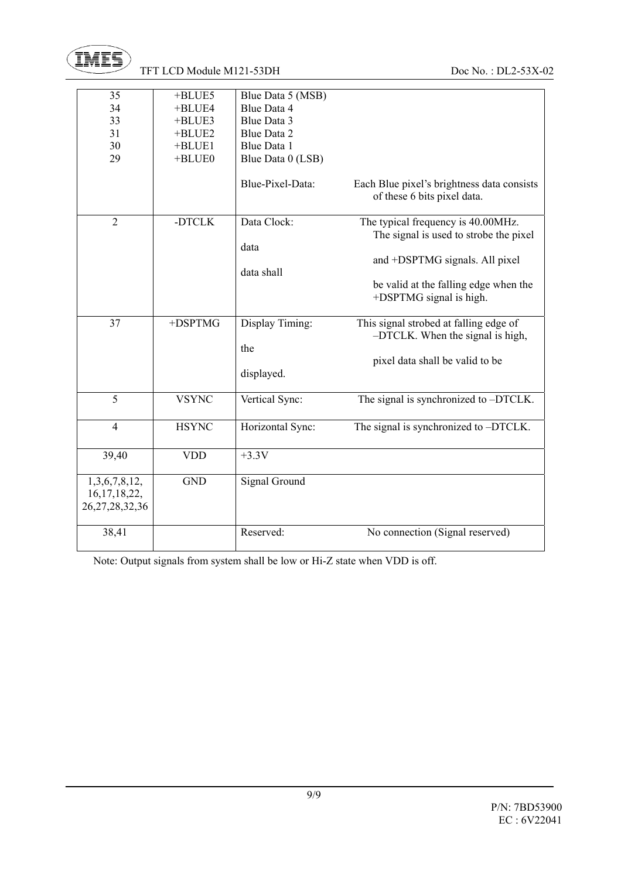

| 35<br>34<br>33<br>31<br>30<br>29                       | +BLUE5<br>+BLUE4<br>+BLUE3<br>+BLUE2<br>$+$ BLUE1<br>$+$ BLUE0 | Blue Data 5 (MSB)<br>Blue Data 4<br>Blue Data 3<br><b>Blue Data 2</b><br><b>Blue Data 1</b><br>Blue Data 0 (LSB) |                                                                                                                                                                                    |
|--------------------------------------------------------|----------------------------------------------------------------|------------------------------------------------------------------------------------------------------------------|------------------------------------------------------------------------------------------------------------------------------------------------------------------------------------|
|                                                        |                                                                | Blue-Pixel-Data:                                                                                                 | Each Blue pixel's brightness data consists<br>of these 6 bits pixel data.                                                                                                          |
| $\overline{2}$                                         | -DTCLK                                                         | Data Clock:<br>data<br>data shall                                                                                | The typical frequency is 40.00MHz.<br>The signal is used to strobe the pixel<br>and +DSPTMG signals. All pixel<br>be valid at the falling edge when the<br>+DSPTMG signal is high. |
| 37                                                     | +DSPTMG                                                        | Display Timing:<br>the<br>displayed.                                                                             | This signal strobed at falling edge of<br>-DTCLK. When the signal is high,<br>pixel data shall be valid to be                                                                      |
| 5                                                      | <b>VSYNC</b>                                                   | Vertical Sync:                                                                                                   | The signal is synchronized to -DTCLK.                                                                                                                                              |
| $\overline{4}$                                         | <b>HSYNC</b>                                                   | Horizontal Sync:                                                                                                 | The signal is synchronized to -DTCLK.                                                                                                                                              |
| 39,40                                                  | <b>VDD</b>                                                     | $+3.3V$                                                                                                          |                                                                                                                                                                                    |
| 1,3,6,7,8,12,<br>16, 17, 18, 22,<br>26, 27, 28, 32, 36 | <b>GND</b>                                                     | <b>Signal Ground</b>                                                                                             |                                                                                                                                                                                    |
| 38,41                                                  |                                                                | Reserved:                                                                                                        | No connection (Signal reserved)                                                                                                                                                    |

Note: Output signals from system shall be low or Hi-Z state when VDD is off.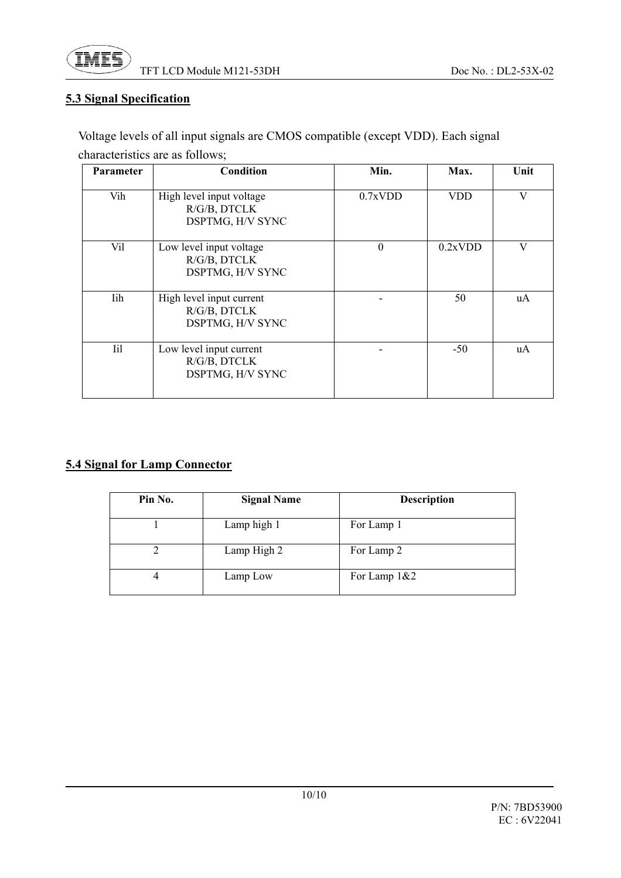## **5.3 Signal Specification**

 Voltage levels of all input signals are CMOS compatible (except VDD). Each signal characteristics are as follows;

| Parameter | Condition                                                    | Min.     | Max.       | Unit |
|-----------|--------------------------------------------------------------|----------|------------|------|
| Vih       | High level input voltage<br>R/G/B, DTCLK<br>DSPTMG, H/V SYNC | 0.7xVDD  | <b>VDD</b> | V    |
| Vil       | Low level input voltage<br>R/G/B, DTCLK<br>DSPTMG, H/V SYNC  | $\Omega$ | 0.2xVDD    | V    |
| Iih       | High level input current<br>R/G/B, DTCLK<br>DSPTMG, H/V SYNC |          | 50         | uA   |
| Iil       | Low level input current<br>R/G/B, DTCLK<br>DSPTMG, H/V SYNC  |          | $-50$      | uA   |

## **5.4 Signal for Lamp Connector**

| Pin No. | <b>Signal Name</b> | <b>Description</b> |  |  |  |
|---------|--------------------|--------------------|--|--|--|
|         | Lamp high 1        | For Lamp 1         |  |  |  |
|         | Lamp High 2        | For Lamp 2         |  |  |  |
| 4       | Lamp Low           | For Lamp 1&2       |  |  |  |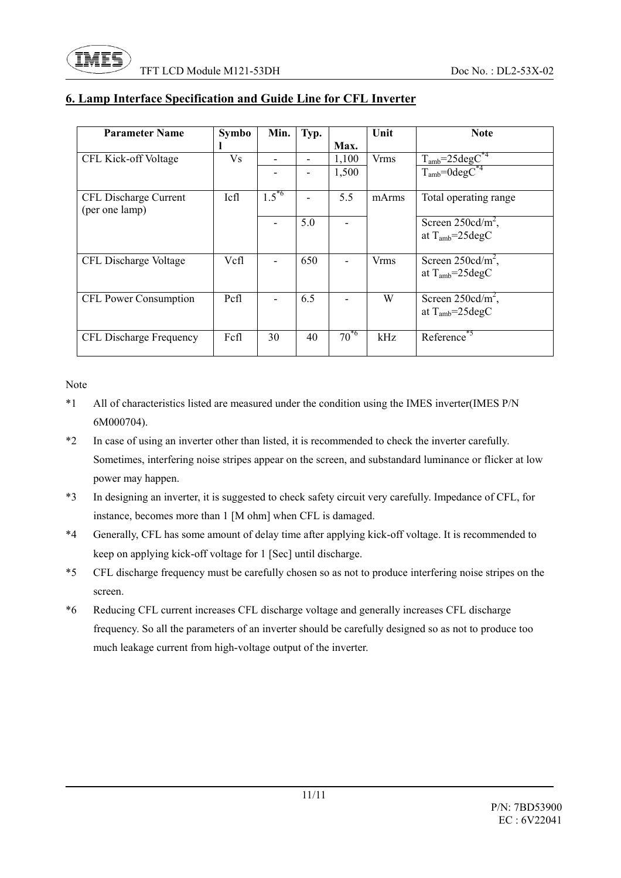| <b>Parameter Name</b>                   | <b>Symbo</b> | Min.       | Typ. |           | Unit        | <b>Note</b>                                                                                                  |
|-----------------------------------------|--------------|------------|------|-----------|-------------|--------------------------------------------------------------------------------------------------------------|
|                                         |              |            |      | Max.      |             |                                                                                                              |
| CFL Kick-off Voltage                    | Vs           |            |      | 1,100     | <b>Vrms</b> | $\frac{\text{T}_{\text{amb}}=25 \text{deg} \text{C}^{*4}}{\text{T}_{\text{amb}}=0 \text{deg} \text{C}^{*4}}$ |
|                                         |              |            |      | 1,500     |             |                                                                                                              |
| CFL Discharge Current<br>(per one lamp) | Icfl         | $1.5^{*6}$ |      | 5.5       | mArms       | Total operating range                                                                                        |
|                                         |              | ۰          | 5.0  |           |             | Screen $250cd/m^2$ ,<br>at $T_{amb} = 25 \text{degC}$                                                        |
| CFL Discharge Voltage                   | Vcfl         |            | 650  |           | <b>Vrms</b> | Screen $250cd/m^2$ ,<br>at $T_{amb} = 25 \text{degC}$                                                        |
| <b>CFL Power Consumption</b>            | Pcfl         | ۰          | 6.5  |           | W           | Screen $250cd/m^2$ ,<br>at $T_{amb} = 25 \text{degC}$                                                        |
| CFL Discharge Frequency                 | Fcfl         | 30         | 40   | $70^{*6}$ | kHz         | Reference <sup>*5</sup>                                                                                      |

#### **6. Lamp Interface Specification and Guide Line for CFL Inverter**

Note

- \*1 All of characteristics listed are measured under the condition using the IMES inverter(IMES P/N 6M000704).
- \*2 In case of using an inverter other than listed, it is recommended to check the inverter carefully. Sometimes, interfering noise stripes appear on the screen, and substandard luminance or flicker at low power may happen.
- \*3 In designing an inverter, it is suggested to check safety circuit very carefully. Impedance of CFL, for instance, becomes more than 1 [M ohm] when CFL is damaged.
- \*4 Generally, CFL has some amount of delay time after applying kick-off voltage. It is recommended to keep on applying kick-off voltage for 1 [Sec] until discharge.
- \*5 CFL discharge frequency must be carefully chosen so as not to produce interfering noise stripes on the screen.
- \*6 Reducing CFL current increases CFL discharge voltage and generally increases CFL discharge frequency. So all the parameters of an inverter should be carefully designed so as not to produce too much leakage current from high-voltage output of the inverter.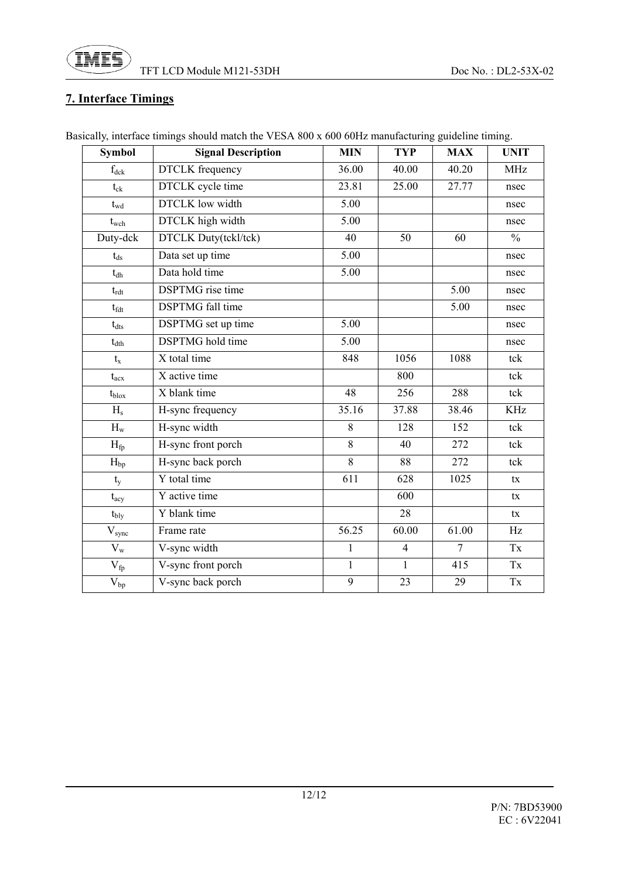

## **7. Interface Timings**

| <b>Symbol</b>            | <b>Signal Description</b>  | <b>MIN</b>   | <b>TYP</b>      | <b>MAX</b>     | <b>UNIT</b>   |
|--------------------------|----------------------------|--------------|-----------------|----------------|---------------|
| $f_{dck}$                | <b>DTCLK</b> frequency     | 36.00        | 40.00           | 40.20          | <b>MHz</b>    |
| $t_{ck}$                 | DTCLK cycle time           | 23.81        | 25.00           | 27.77          | nsec          |
| $t_{\rm wd}$             | <b>DTCLK</b> low width     | 5.00         |                 |                | nsec          |
| $t_{\rm wch}$            | <b>DTCLK</b> high width    | 5.00         |                 |                | nsec          |
| Duty-dck                 | DTCLK Duty(tckl/tck)       | 40           | $\overline{50}$ | 60             | $\frac{0}{0}$ |
| $t_{ds}$                 | Data set up time           | 5.00         |                 |                | nsec          |
| $t_{dh}$                 | Data hold time             | 5.00         |                 |                | nsec          |
| $t_{\rm rdt}$            | <b>DSPTMG</b> rise time    |              |                 | 5.00           | nsec          |
| $t_{\text{fdt}}$         | <b>DSPTMG</b> fall time    |              |                 | 5.00           | nsec          |
| $t_{\rm{dts}}$           | DSPTMG set up time         | 5.00         |                 |                | nsec          |
| $t_{\text{dth}}$         | <b>DSPTMG</b> hold time    | 5.00         |                 |                | nsec          |
| $t_{x}$                  | X total time               | 848          | 1056            | 1088           | tck           |
| $t_{\rm acx}$            | $\overline{X}$ active time |              | 800             |                | tck           |
| $t_{\text{blox}}$        | X blank time               | 48           | 256             | 288            | tck           |
| $H_s$                    | H-sync frequency           | 35.16        | 37.88           | 38.46          | <b>KHz</b>    |
| $H_{w}$                  | H-sync width               | 8            | 128             | 152            | tck           |
| $\mathbf{H}_{\text{fp}}$ | H-sync front porch         | 8            | 40              | 272            | tck           |
| $H_{bp}$                 | H-sync back porch          | 8            | 88              | 272            | tck           |
| $t_{y}$                  | Y total time               | 611          | 628             | 1025           | tx            |
| $t_{acy}$                | Y active time              |              | 600             |                | tx            |
| $t_{\rm bly}$            | Y blank time               |              | 28              |                | tx            |
| $\rm V_{sync}$           | Frame rate                 | 56.25        | 60.00           | 61.00          | Hz            |
| $\rm V_w$                | V-sync width               | $\mathbf{1}$ | $\overline{4}$  | $\overline{7}$ | Tx            |
| $V_\mathrm{fp}$          | V-sync front porch         | $\mathbf{1}$ | $\mathbf{1}$    | 415            | Tx            |
| $V_{bp}$                 | V-sync back porch          | 9            | 23              | 29             | Tx            |

Basically, interface timings should match the VESA 800 x 600 60Hz manufacturing guideline timing.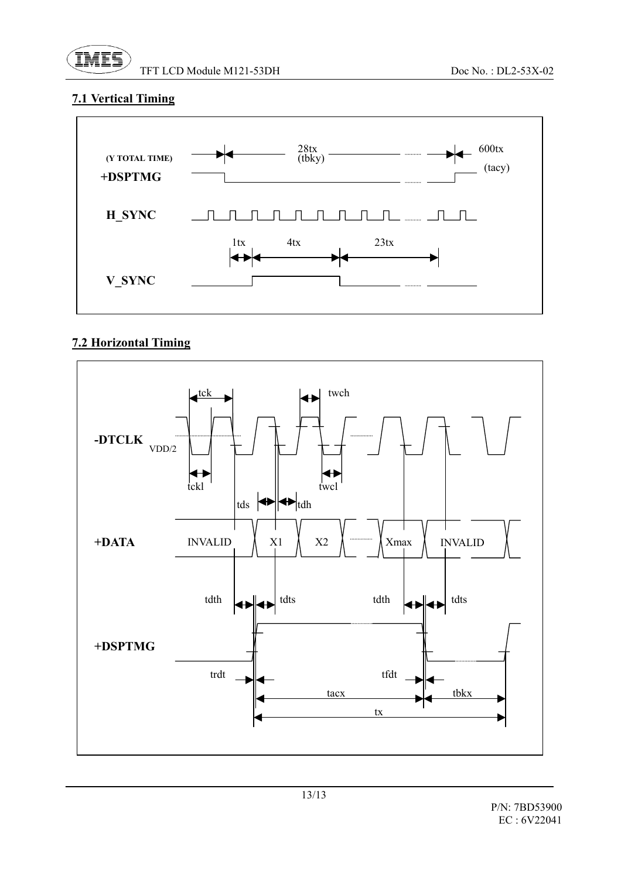

## **7.1 Vertical Timing**



## **7.2 Horizontal Timing**

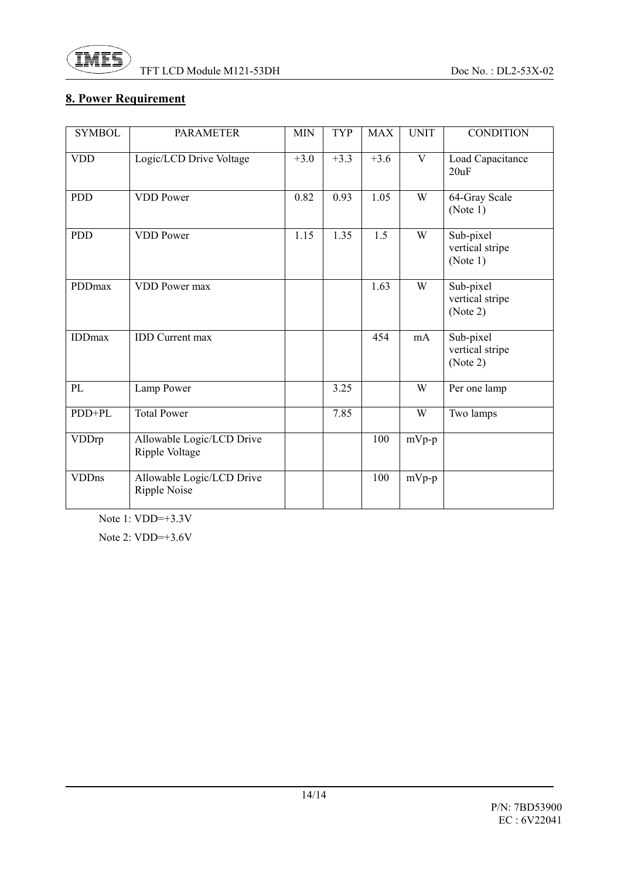

## **8. Power Requirement**

| <b>SYMBOL</b> | <b>PARAMETER</b>                            | <b>MIN</b> | TYP    | <b>MAX</b> | <b>UNIT</b>  | <b>CONDITION</b>                         |
|---------------|---------------------------------------------|------------|--------|------------|--------------|------------------------------------------|
| <b>VDD</b>    | Logic/LCD Drive Voltage                     | $+3.0$     | $+3.3$ | $+3.6$     | $\mathbf{V}$ | Load Capacitance<br>20uF                 |
| <b>PDD</b>    | <b>VDD</b> Power                            | 0.82       | 0.93   | 1.05       | W            | 64-Gray Scale<br>(Note 1)                |
| <b>PDD</b>    | <b>VDD</b> Power                            | 1.15       | 1.35   | 1.5        | W            | Sub-pixel<br>vertical stripe<br>(Note 1) |
| PDDmax        | VDD Power max                               |            |        | 1.63       | W            | Sub-pixel<br>vertical stripe<br>(Note 2) |
| <b>IDDmax</b> | <b>IDD</b> Current max                      |            |        | 454        | mA           | Sub-pixel<br>vertical stripe<br>(Note 2) |
| PL            | Lamp Power                                  |            | 3.25   |            | W            | Per one lamp                             |
| PDD+PL        | <b>Total Power</b>                          |            | 7.85   |            | W            | Two lamps                                |
| VDDrp         | Allowable Logic/LCD Drive<br>Ripple Voltage |            |        | 100        | $mVp-p$      |                                          |
| <b>VDDns</b>  | Allowable Logic/LCD Drive<br>Ripple Noise   |            |        | 100        | $mVp-p$      |                                          |

Note 1: VDD=+3.3V

Note 2: VDD=+3.6V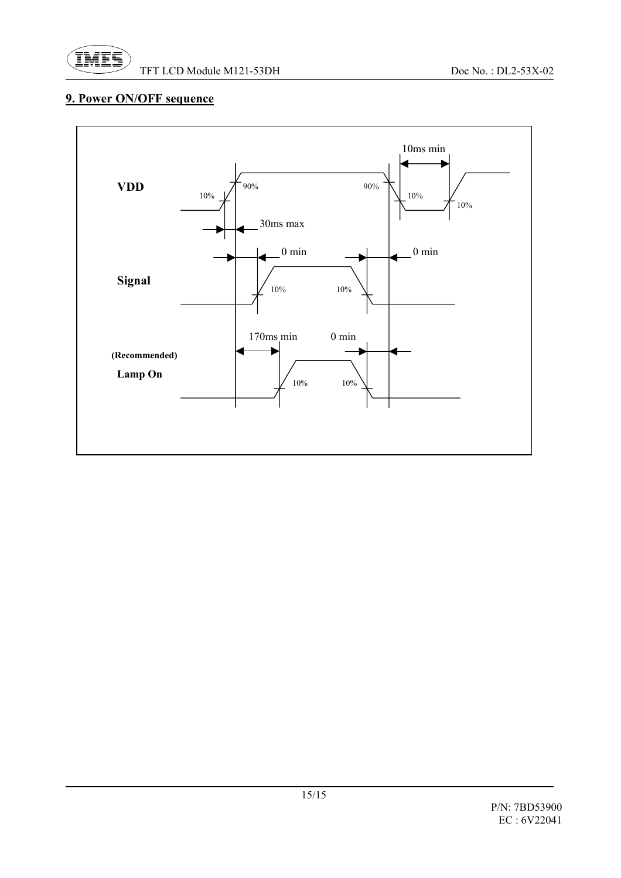

## **9. Power ON/OFF sequence**

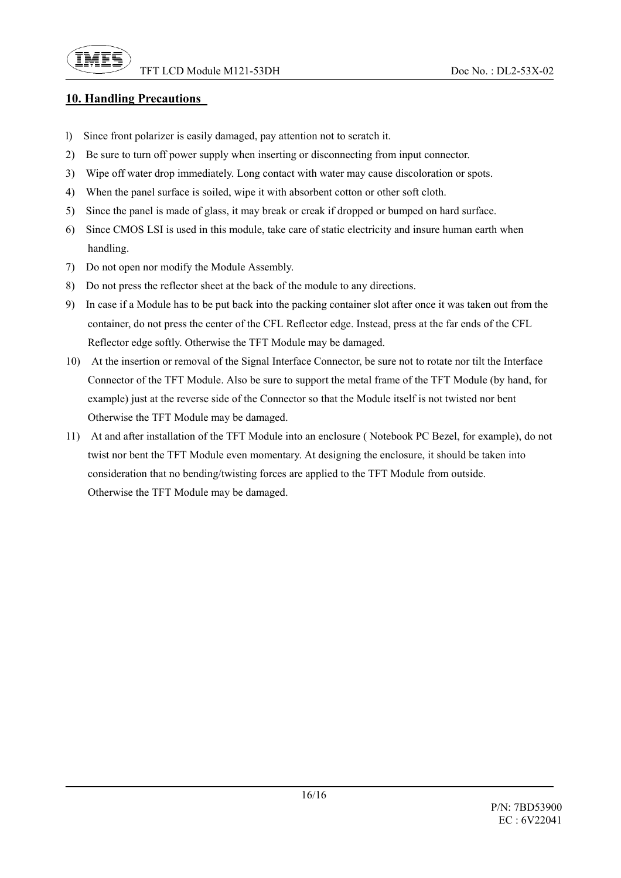#### **10. Handling Precautions**

- l) Since front polarizer is easily damaged, pay attention not to scratch it.
- 2) Be sure to turn off power supply when inserting or disconnecting from input connector.
- 3) Wipe off water drop immediately. Long contact with water may cause discoloration or spots.
- 4) When the panel surface is soiled, wipe it with absorbent cotton or other soft cloth.
- 5) Since the panel is made of glass, it may break or creak if dropped or bumped on hard surface.
- 6) Since CMOS LSI is used in this module, take care of static electricity and insure human earth when handling.
- 7) Do not open nor modify the Module Assembly.
- 8) Do not press the reflector sheet at the back of the module to any directions.
- 9) In case if a Module has to be put back into the packing container slot after once it was taken out from the container, do not press the center of the CFL Reflector edge. Instead, press at the far ends of the CFL Reflector edge softly. Otherwise the TFT Module may be damaged.
- 10) At the insertion or removal of the Signal Interface Connector, be sure not to rotate nor tilt the Interface Connector of the TFT Module. Also be sure to support the metal frame of the TFT Module (by hand, for example) just at the reverse side of the Connector so that the Module itself is not twisted nor bent Otherwise the TFT Module may be damaged.
- 11) At and after installation of the TFT Module into an enclosure ( Notebook PC Bezel, for example), do not twist nor bent the TFT Module even momentary. At designing the enclosure, it should be taken into consideration that no bending/twisting forces are applied to the TFT Module from outside. Otherwise the TFT Module may be damaged.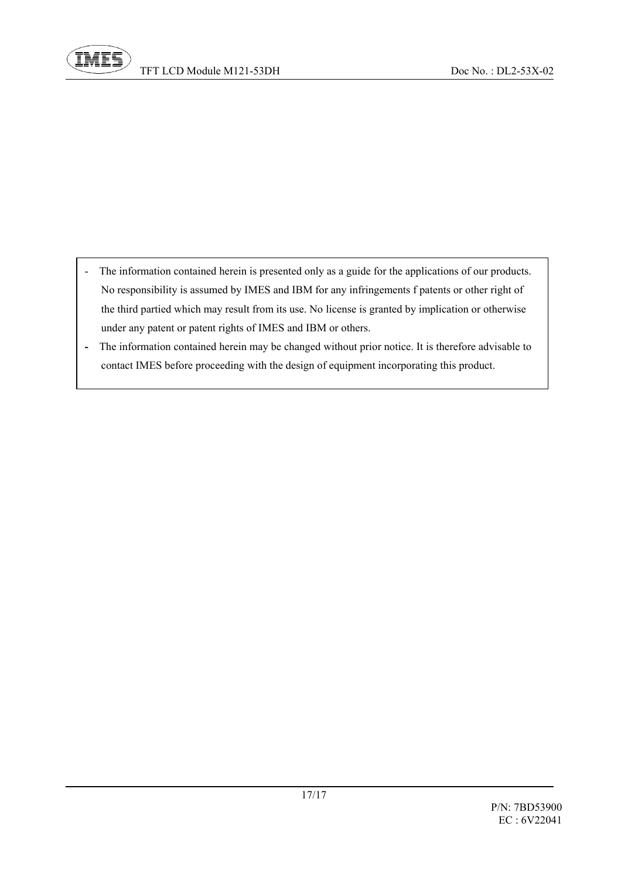- The information contained herein is presented only as a guide for the applications of our products. No responsibility is assumed by IMES and IBM for any infringements f patents or other right of the third partied which may result from its use. No license is granted by implication or otherwise under any patent or patent rights of IMES and IBM or others.
- **-** The information contained herein may be changed without prior notice. It is therefore advisable to contact IMES before proceeding with the design of equipment incorporating this product.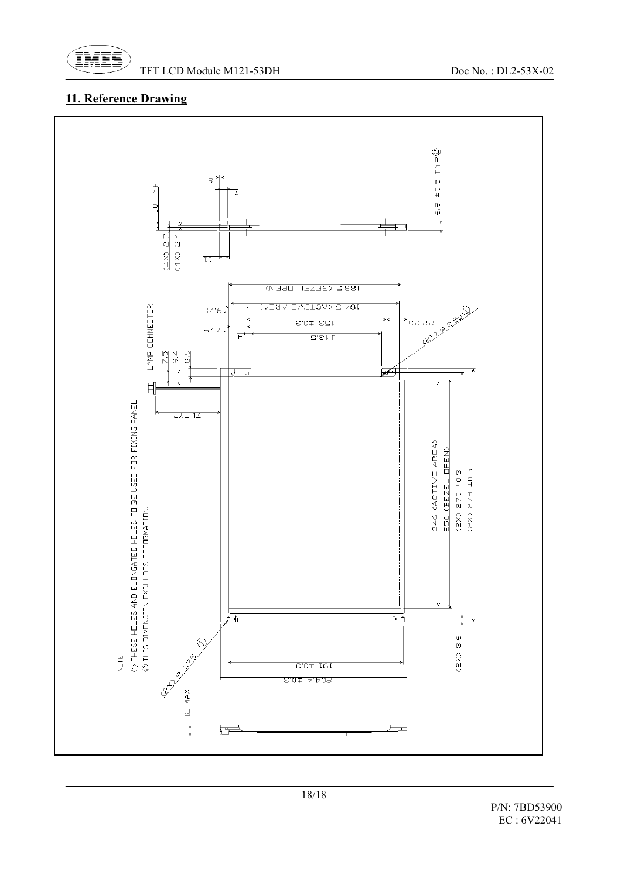

## **11. Reference Drawing**